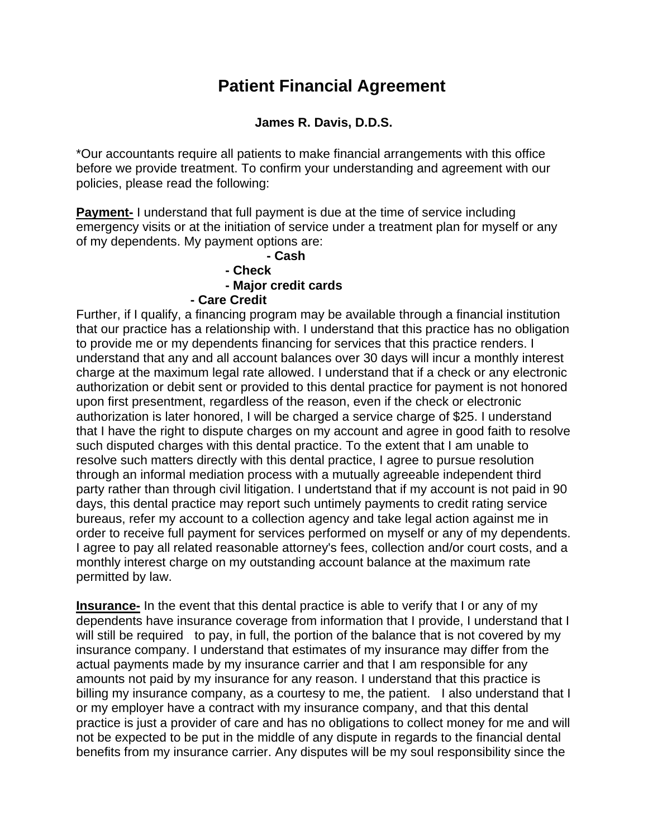## **Patient Financial Agreement**

## **James R. Davis, D.D.S.**

\*Our accountants require all patients to make financial arrangements with this office before we provide treatment. To confirm your understanding and agreement with our policies, please read the following:

**Payment-** I understand that full payment is due at the time of service including emergency visits or at the initiation of service under a treatment plan for myself or any of my dependents. My payment options are:

## **- Cash - Check - Major credit cards - Care Credit**

Further, if I qualify, a financing program may be available through a financial institution that our practice has a relationship with. I understand that this practice has no obligation to provide me or my dependents financing for services that this practice renders. I understand that any and all account balances over 30 days will incur a monthly interest charge at the maximum legal rate allowed. I understand that if a check or any electronic authorization or debit sent or provided to this dental practice for payment is not honored upon first presentment, regardless of the reason, even if the check or electronic authorization is later honored, I will be charged a service charge of \$25. I understand that I have the right to dispute charges on my account and agree in good faith to resolve such disputed charges with this dental practice. To the extent that I am unable to resolve such matters directly with this dental practice, I agree to pursue resolution through an informal mediation process with a mutually agreeable independent third party rather than through civil litigation. I undertstand that if my account is not paid in 90 days, this dental practice may report such untimely payments to credit rating service bureaus, refer my account to a collection agency and take legal action against me in order to receive full payment for services performed on myself or any of my dependents. I agree to pay all related reasonable attorney's fees, collection and/or court costs, and a monthly interest charge on my outstanding account balance at the maximum rate permitted by law.

**Insurance-** In the event that this dental practice is able to verify that I or any of my dependents have insurance coverage from information that I provide, I understand that I will still be required to pay, in full, the portion of the balance that is not covered by my insurance company. I understand that estimates of my insurance may differ from the actual payments made by my insurance carrier and that I am responsible for any amounts not paid by my insurance for any reason. I understand that this practice is billing my insurance company, as a courtesy to me, the patient. I also understand that I or my employer have a contract with my insurance company, and that this dental practice is just a provider of care and has no obligations to collect money for me and will not be expected to be put in the middle of any dispute in regards to the financial dental benefits from my insurance carrier. Any disputes will be my soul responsibility since the